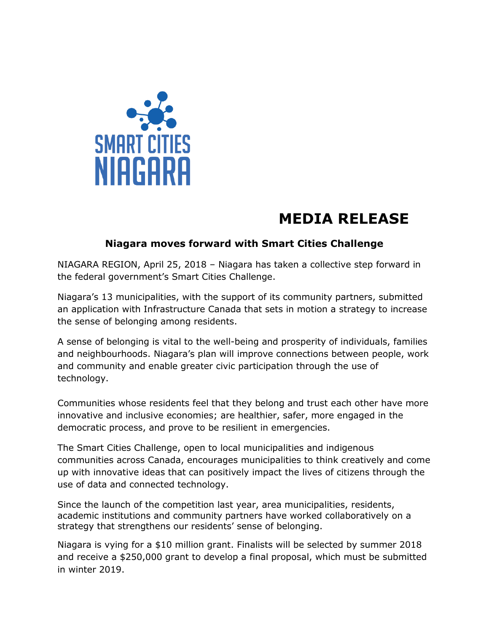

## **MEDIA RELEASE**

## **Niagara moves forward with Smart Cities Challenge**

NIAGARA REGION, April 25, 2018 – Niagara has taken a collective step forward in the federal government's Smart Cities Challenge.

Niagara's 13 municipalities, with the support of its community partners, submitted an application with Infrastructure Canada that sets in motion a strategy to increase the sense of belonging among residents.

A sense of belonging is vital to the well-being and prosperity of individuals, families and neighbourhoods. Niagara's plan will improve connections between people, work and community and enable greater civic participation through the use of technology.

Communities whose residents feel that they belong and trust each other have more innovative and inclusive economies; are healthier, safer, more engaged in the democratic process, and prove to be resilient in emergencies.

The Smart Cities Challenge, open to local municipalities and indigenous communities across Canada, encourages municipalities to think creatively and come up with innovative ideas that can positively impact the lives of citizens through the use of data and connected technology.

Since the launch of the competition last year, area municipalities, residents, academic institutions and community partners have worked collaboratively on a strategy that strengthens our residents' sense of belonging.

Niagara is vying for a \$10 million grant. Finalists will be selected by summer 2018 and receive a \$250,000 grant to develop a final proposal, which must be submitted in winter 2019.